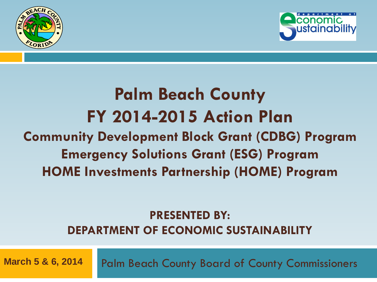



### **Palm Beach County FY 2014-2015 Action Plan Community Development Block Grant (CDBG) Program Emergency Solutions Grant (ESG) Program HOME Investments Partnership (HOME) Program**

#### **PRESENTED BY: DEPARTMENT OF ECONOMIC SUSTAINABILITY**

**March 5 & 6, 2014** Palm Beach County Board of County Commissioners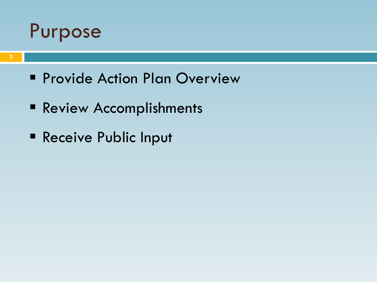

- **Provide Action Plan Overview**
- **Review Accomplishments**
- Receive Public Input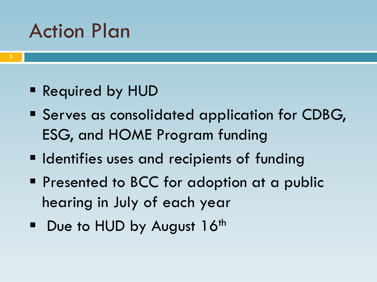### Action Plan

- Required by HUD
- **Serves as consolidated application for CDBG,** ESG, and HOME Program funding
- **Indentifies uses and recipients of funding**
- **Presented to BCC for adoption at a public** hearing in July of each year
- $\blacksquare$  Due to HUD by August 16<sup>th</sup>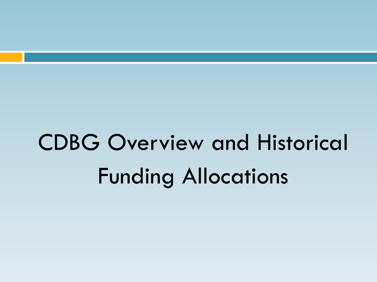# CDBG Overview and Historical Funding Allocations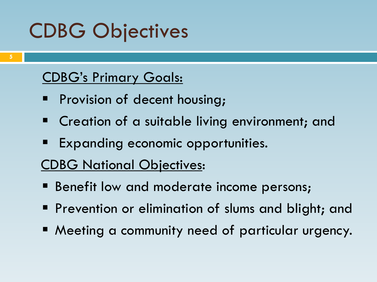## CDBG Objectives

#### CDBG's Primary Goals:

- Provision of decent housing;
- **E** Creation of a suitable living environment; and
- Expanding economic opportunities.
- CDBG National Objectives:
- **Benefit low and moderate income persons;**
- **Prevention or elimination of slums and blight; and**
- Meeting a community need of particular urgency.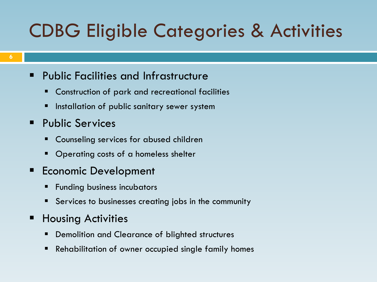### CDBG Eligible Categories & Activities

- **Public Facilities and Infrastructure** 
	- Construction of park and recreational facilities
	- Installation of public sanitary sewer system
- **Public Services** 
	- **EX Counseling services for abused children**
	- Operating costs of a homeless shelter
- Economic Development
	- Funding business incubators
	- Services to businesses creating jobs in the community
- **Housing Activities** 
	- Demolition and Clearance of blighted structures
	- Rehabilitation of owner occupied single family homes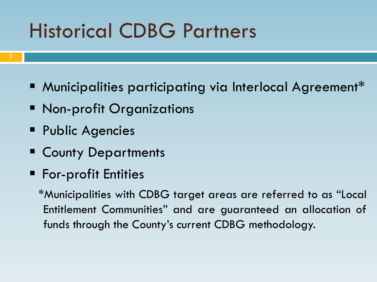## Historical CDBG Partners

- **Municipalities participating via Interlocal Agreement\***
- **Non-profit Organizations**
- **Public Agencies**
- **E** County Departments
- **For-profit Entities**

\*Municipalities with CDBG target areas are referred to as "Local Entitlement Communities" and are guaranteed an allocation of funds through the County's current CDBG methodology.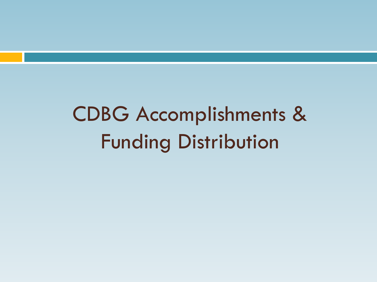## CDBG Accomplishments & Funding Distribution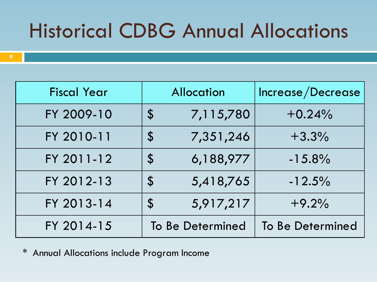## Historical CDBG Annual Allocations

| <b>Fiscal Year</b> | <b>Allocation</b>          |                  | Increase/Decrease |  |
|--------------------|----------------------------|------------------|-------------------|--|
| FY 2009-10         | $\mathcal{S}$              | 7,115,780        | $+0.24%$          |  |
| FY 2010-11         | $\mathbf S$                | 7,351,246        | $+3.3%$           |  |
| FY 2011-12         | $\boldsymbol{\mathsf{S}}$  | 6,188,977        | $-15.8%$          |  |
| FY 2012-13         | $\boldsymbol{\mathcal{S}}$ | 5,418,765        | $-12.5%$          |  |
| FY 2013-14         | $\mathcal{S}$              | 5,917,217        | $+9.2%$           |  |
| FY 2014-15         |                            | To Be Determined | To Be Determined  |  |

\* Annual Allocations include Program Income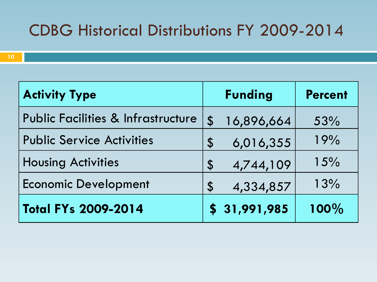#### CDBG Historical Distributions FY 2009-2014

| <b>Activity Type</b>                          |                            | <b>Funding</b> | <b>Percent</b> |
|-----------------------------------------------|----------------------------|----------------|----------------|
| <b>Public Facilities &amp; Infrastructure</b> | $\boldsymbol{\mathsf{\$}}$ | 16,896,664     | 53%            |
| <b>Public Service Activities</b>              | $\mathcal{S}$              | 6,016,355      | 19%            |
| <b>Housing Activities</b>                     | $\mathcal{S}$              | 4,744,109      | 15%            |
| <b>Economic Development</b>                   | $\mathbf S$                | 4,334,857      | 13%            |
| <b>Total FYs 2009-2014</b>                    |                            | \$31,991,985   | 100%           |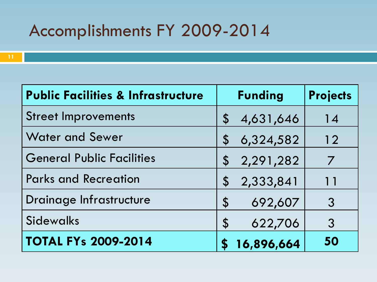| <b>Public Facilities &amp; Infrastructure</b> | <b>Funding</b>                         | <b>Projects</b> |
|-----------------------------------------------|----------------------------------------|-----------------|
| <b>Street Improvements</b>                    | 4,631,646<br>$\boldsymbol{\mathsf{S}}$ | 14              |
| <b>Water and Sewer</b>                        | 6,324,582<br>$\boldsymbol{\mathsf{S}}$ | 12              |
| <b>General Public Facilities</b>              | 2,291,282<br>$\mathcal{S}$             | 7               |
| <b>Parks and Recreation</b>                   | 2,333,841<br>$\boldsymbol{\mathsf{S}}$ | 11              |
| Drainage Infrastructure                       | 692,607<br>$\boldsymbol{\mathsf{S}}$   | 3               |
| <b>Sidewalks</b>                              | 622,706<br>$\boldsymbol{\mathsf{S}}$   | $\mathcal{S}$   |
| <b>TOTAL FYs 2009-2014</b>                    | 16,896,664                             | 50              |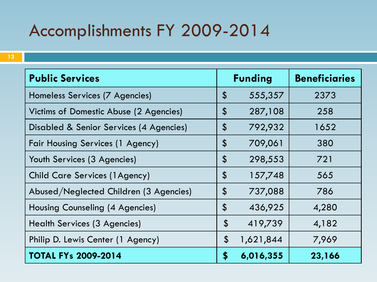| <b>Public Services</b>                  |                            | <b>Funding</b> | <b>Beneficiaries</b> |  |
|-----------------------------------------|----------------------------|----------------|----------------------|--|
| Homeless Services (7 Agencies)          | $\boldsymbol{\mathsf{\$}}$ | 555,357        | 2373                 |  |
| Victims of Domestic Abuse (2 Agencies)  | $\boldsymbol{\mathsf{\$}}$ | 287,108        | 258                  |  |
| Disabled & Senior Services (4 Agencies) | $\boldsymbol{\mathsf{\$}}$ | 792,932        | 1652                 |  |
| <b>Fair Housing Services (1 Agency)</b> | $\boldsymbol{\mathsf{\$}}$ | 709,061        | 380                  |  |
| Youth Services (3 Agencies)             | \$                         | 298,553        | 721                  |  |
| <b>Child Care Services (1Agency)</b>    | $\boldsymbol{\hat{\phi}}$  | 157,748        | 565                  |  |
| Abused/Neglected Children (3 Agencies)  | $\boldsymbol{\hat{\phi}}$  | 737,088        | 786                  |  |
| Housing Counseling (4 Agencies)         | \$                         | 436,925        | 4,280                |  |
| <b>Health Services (3 Agencies)</b>     | $\boldsymbol{\hat{\phi}}$  | 419,739        | 4,182                |  |
| Philip D. Lewis Center (1 Agency)       | $\boldsymbol{\mathsf{S}}$  | 1,621,844      | 7,969                |  |
| <b>TOTAL FYs 2009-2014</b>              | \$                         | 6,016,355      | 23,166               |  |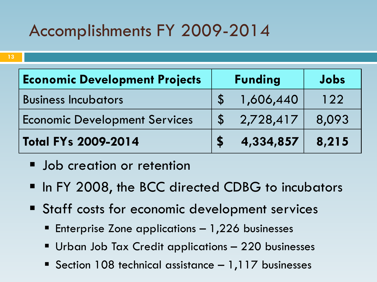| <b>Economic Development Projects</b> | <b>Funding</b> |           | Jobs  |
|--------------------------------------|----------------|-----------|-------|
| <b>Business Incubators</b>           |                | 1,606,440 | 122   |
| <b>Economic Development Services</b> |                | 2,728,417 | 8,093 |
| Total FYs 2009-2014                  |                | 4,334,857 | 8,215 |

**Job creation or retention** 

- In FY 2008, the BCC directed CDBG to incubators
- Staff costs for economic development services
	- **Enterprise Zone applications 1,226 businesses**
	- Urban Job Tax Credit applications 220 businesses
	- Section 108 technical assistance 1,117 businesses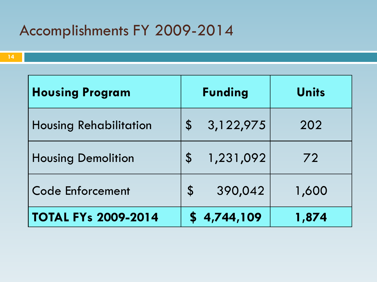| <b>Housing Program</b>        | <b>Funding</b>                         | <b>Units</b> |
|-------------------------------|----------------------------------------|--------------|
| <b>Housing Rehabilitation</b> | 3,122,975<br>$\boldsymbol{\mathsf{S}}$ | 202          |
| <b>Housing Demolition</b>     | 1,231,092<br>$\mathbf S$               | 72           |
| <b>Code Enforcement</b>       | 390,042<br>$\boldsymbol{\mathsf{S}}$   | 1,600        |
| <b>TOTAL FYs 2009-2014</b>    | 4,744,109                              | 1,874        |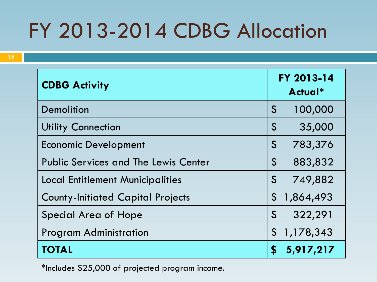## FY 2013-2014 CDBG Allocation

| <b>CDBG Activity</b>                        | FY 2013-14<br>Actual*                  |  |  |
|---------------------------------------------|----------------------------------------|--|--|
| <b>Demolition</b>                           | $\boldsymbol{\mathsf{S}}$<br>100,000   |  |  |
| <b>Utility Connection</b>                   | $\boldsymbol{\theta}$<br>35,000        |  |  |
| <b>Economic Development</b>                 | $\boldsymbol{\mathsf{S}}$<br>783,376   |  |  |
| <b>Public Services and The Lewis Center</b> | $\boldsymbol{\mathsf{S}}$<br>883,832   |  |  |
| <b>Local Entitlement Municipalities</b>     | $\boldsymbol{\mathsf{\$}}$<br>749,882  |  |  |
| <b>County-Initiated Capital Projects</b>    | $\boldsymbol{\mathsf{S}}$<br>1,864,493 |  |  |
| <b>Special Area of Hope</b>                 | $\boldsymbol{\mathsf{S}}$<br>322,291   |  |  |
| <b>Program Administration</b>               | $\mathcal{S}$<br>1,178,343             |  |  |
| <b>TOTAL</b>                                | 5,917,217<br>\$                        |  |  |

\*Includes \$25,000 of projected program income.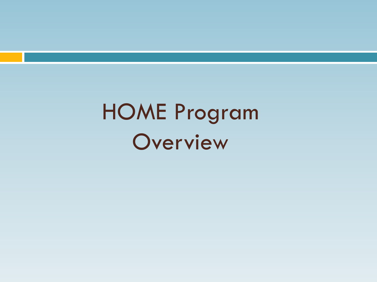# HOME Program Overview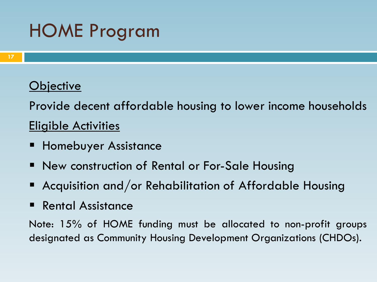### HOME Program

#### **Objective**

Provide decent affordable housing to lower income households Eligible Activities

- Homebuyer Assistance
- **New construction of Rental or For-Sale Housing**
- Acquisition and/or Rehabilitation of Affordable Housing
- Rental Assistance

Note: 15% of HOME funding must be allocated to non-profit groups designated as Community Housing Development Organizations (CHDOs).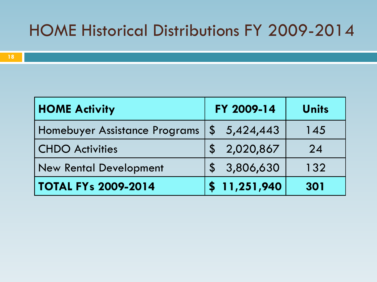#### HOME Historical Distributions FY 2009-2014

| <b>HOME Activity</b>          | FY 2009-14   | <b>Units</b> |
|-------------------------------|--------------|--------------|
| Homebuyer Assistance Programs | \$5,424,443  | 145          |
| <b>CHDO Activities</b>        | \$2,020,867  | 24           |
| <b>New Rental Development</b> | \$3,806,630  | 132          |
| <b>TOTAL FYs 2009-2014</b>    | \$11,251,940 | 301          |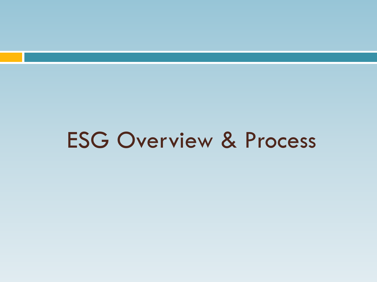## ESG Overview & Process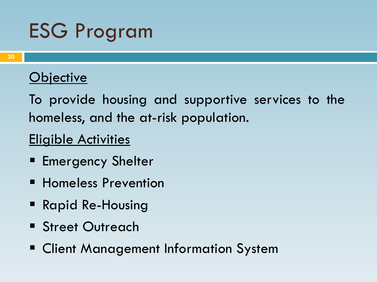## ESG Program

#### **Objective**

To provide housing and supportive services to the homeless, and the at-risk population.

#### Eligible Activities

- **Emergency Shelter**
- **Homeless Prevention**
- **Rapid Re-Housing**
- **Street Outreach**
- **Example 1 Client Management Information System**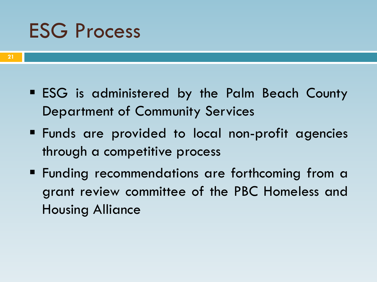### ESG Process

- **ESG** is administered by the Palm Beach County Department of Community Services
- Funds are provided to local non-profit agencies through a competitive process
- **Funding recommendations are forthcoming from a** grant review committee of the PBC Homeless and Housing Alliance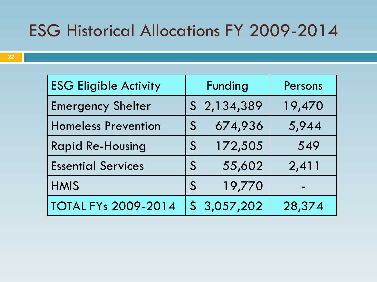### ESG Historical Allocations FY 2009-2014

| <b>ESG Eligible Activity</b> | <b>Funding</b>             |             | Persons |
|------------------------------|----------------------------|-------------|---------|
| <b>Emergency Shelter</b>     |                            | \$2,134,389 | 19,470  |
| <b>Homeless Prevention</b>   | $\boldsymbol{\mathcal{Z}}$ | 674,936     | 5,944   |
| <b>Rapid Re-Housing</b>      | $\mathbf S$                | 172,505     | 549     |
| <b>Essential Services</b>    | $\boldsymbol{\mathsf{S}}$  | 55,602      | 2,411   |
| <b>HMIS</b>                  | $\mathfrak{P}$             | 19,770      | -       |
| <b>TOTAL FYs 2009-2014</b>   |                            | 3,057,202   | 28,374  |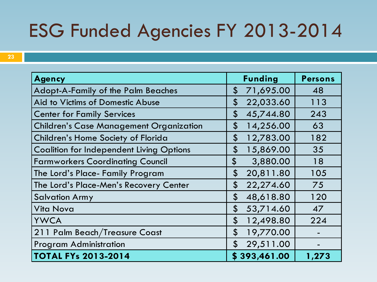### ESG Funded Agencies FY 2013-2014

| <b>Agency</b>                                   | <b>Funding</b>                          | <b>Persons</b> |
|-------------------------------------------------|-----------------------------------------|----------------|
| <b>Adopt-A-Family of the Palm Beaches</b>       | 71,695.00<br>\$                         | 48             |
| Aid to Victims of Domestic Abuse                | 22,033.60<br>$\boldsymbol{\mathsf{S}}$  | 113            |
| <b>Center for Family Services</b>               | $\boldsymbol{\mathsf{S}}$<br>45,744.80  | 243            |
| <b>Children's Case Management Organization</b>  | \$<br>14,256.00                         | 63             |
| Children's Home Society of Florida              | $\boldsymbol{\mathsf{\$}}$<br>12,783.00 | 182            |
| <b>Coalition for Independent Living Options</b> | $\boldsymbol{\mathsf{S}}$<br>15,869.00  | 35             |
| <b>Farmworkers Coordinating Council</b>         | \$<br>3,880.00                          | 18             |
| The Lord's Place- Family Program                | $\boldsymbol{\mathsf{S}}$<br>20,811.80  | 105            |
| The Lord's Place-Men's Recovery Center          | $\boldsymbol{\mathsf{\$}}$<br>22,274.60 | 75             |
| <b>Salvation Army</b>                           | $\boldsymbol{\mathsf{S}}$<br>48,618.80  | 120            |
| <b>Vita Nova</b>                                | $\boldsymbol{\mathsf{S}}$<br>53,714.60  | 47             |
| <b>YWCA</b>                                     | $\boldsymbol{\mathsf{S}}$<br>12,498.80  | 224            |
| 211 Palm Beach/Treasure Coast                   | $\boldsymbol{\mathsf{S}}$<br>19,770.00  |                |
| <b>Program Administration</b>                   | \$<br>29,511.00                         |                |
| <b>TOTAL FYs 2013-2014</b>                      | \$393,461.00                            | 1,273          |